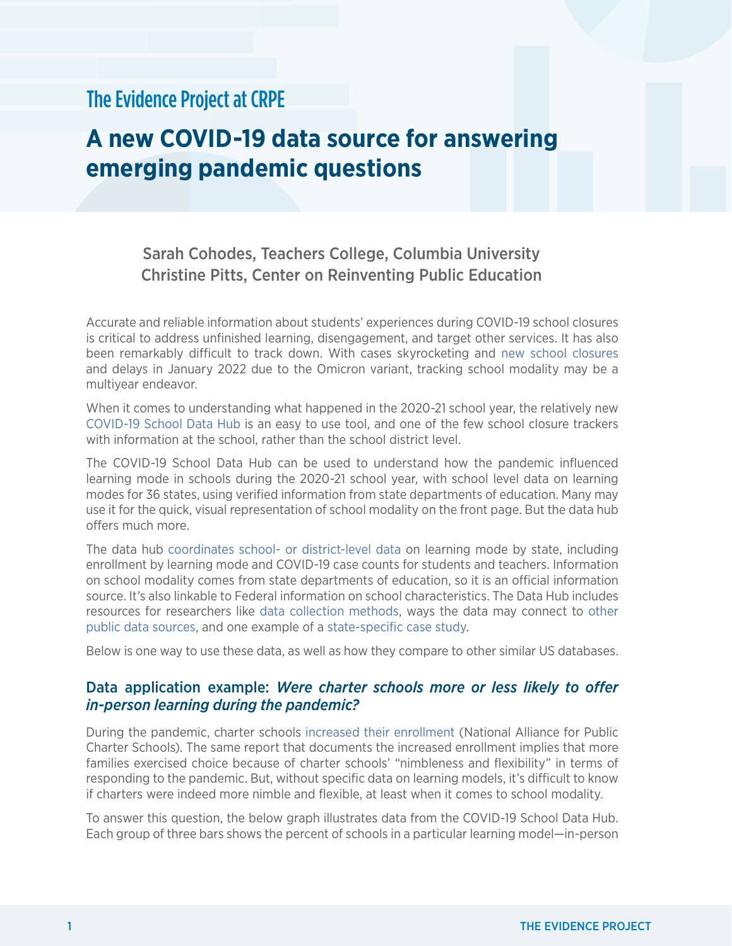## The Evidence Project at CRPE

# **A new COVID-19 data source for answering emerging pandemic questions**

### Sarah Cohodes, Teachers College, Columbia University Christine Pitts, Center on Reinventing Public Education

Accurate and reliable information about students' experiences during COVID-19 school closures is critical to address unfinished learning, disengagement, and target other services. It has also been remarkably difficult to track down. With cases skyrocketing and [new school closures](https://twitter.com/CRPE_UW/status/1478845939980795904) and delays in January 2022 due to the Omicron variant, tracking school modality may be a multiyear endeavor.

When it comes to understanding what happened in the 2020-21 school year, the relatively new [COVID-19 School Data Hub](https://www.covidschooldatahub.com/) is an easy to use tool, and one of the few school closure trackers with information at the school, rather than the school district level.

The COVID-19 School Data Hub can be used to understand how the pandemic influenced learning mode in schools during the 2020-21 school year, with school level data on learning modes for 36 states, using verified information from state departments of education. Many may use it for the quick, visual representation of school modality on the front page. But the data hub offers much more.

The data hub [coordinates school- or district-level data](https://assets.ctfassets.net/9fbw4onh0qc1/51GumHMBAalCkUBBHREfxO/0f4e84f44f90451b5558e7989e0d342b/CSDH_Introductory_White_Paper.pdf) on learning mode by state, including enrollment by learning mode and COVID-19 case counts for students and teachers. Information on school modality comes from state departments of education, so it is an official information source. It's also linkable to Federal information on school characteristics. The Data Hub includes resources for researchers like [data collection methods,](https://www.covidschooldatahub.com/methods) ways the data may connect to [other](https://www.covidschooldatahub.com/for_researchers)  [public data sources,](https://www.covidschooldatahub.com/for_researchers) and one example of a [state-specific case study](https://www.covidschooldatahub.com/preliminary_research).

Below is one way to use these data, as well as how they compare to other similar US databases.

#### Data application example: *Were charter schools more or less likely to offer in-person learning during the pandemic?*

During the pandemic, charter schools [increased their enrollment](https://www.publiccharters.org/sites/default/files/documents/2021-09/napcs_voting_feet_rd6.pdf) (National Alliance for Public Charter Schools). The same report that documents the increased enrollment implies that more families exercised choice because of charter schools' "nimbleness and flexibility" in terms of responding to the pandemic. But, without specific data on learning models, it's difficult to know if charters were indeed more nimble and flexible, at least when it comes to school modality.

To answer this question, the below graph illustrates data from the COVID-19 School Data Hub. Each group of three bars shows the percent of schools in a particular learning model—in-person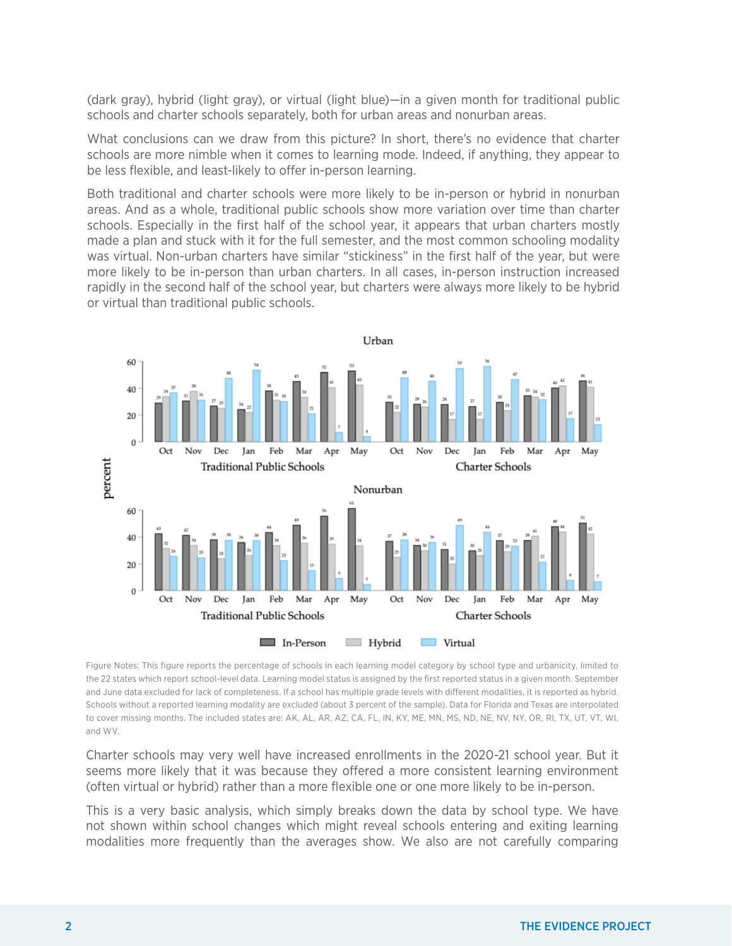(dark gray), hybrid (light gray), or virtual (light blue)—in a given month for traditional public schools and charter schools separately, both for urban areas and nonurban areas.

What conclusions can we draw from this picture? In short, there's no evidence that charter schools are more nimble when it comes to learning mode. Indeed, if anything, they appear to be less flexible, and least-likely to offer in-person learning.

Both traditional and charter schools were more likely to be in-person or hybrid in nonurban areas. And as a whole, traditional public schools show more variation over time than charter schools. Especially in the first half of the school year, it appears that urban charters mostly made a plan and stuck with it for the full semester, and the most common schooling modality was virtual. Non-urban charters have similar "stickiness" in the first half of the year, but were more likely to be in-person than urban charters. In all cases, in-person instruction increased rapidly in the second half of the school year, but charters were always more likely to be hybrid or virtual than traditional public schools.



Figure Notes: This figure reports the percentage of schools in each learning model category by school type and urbanicity, limited to the 22 states which report school-level data. Learning model status is assigned by the first reported status in a given month. September and June data excluded for lack of completeness. If a school has multiple grade levels with different modalities, it is reported as hybrid. Schools without a reported learning modality are excluded (about 3 percent of the sample). Data for Florida and Texas are interpolated to cover missing months. The included states are: AK, AL, AR, AZ, CA, FL, IN, KY, ME, MN, MS, ND, NE, NV, NY, OR, RI, TX, UT, VT, WI, and WV.

Charter schools may very well have increased enrollments in the 2020-21 school year. But it seems more likely that it was because they offered a more consistent learning environment (often virtual or hybrid) rather than a more flexible one or one more likely to be in-person.

This is a very basic analysis, which simply breaks down the data by school type. We have not shown within school changes which might reveal schools entering and exiting learning modalities more frequently than the averages show. We also are not carefully comparing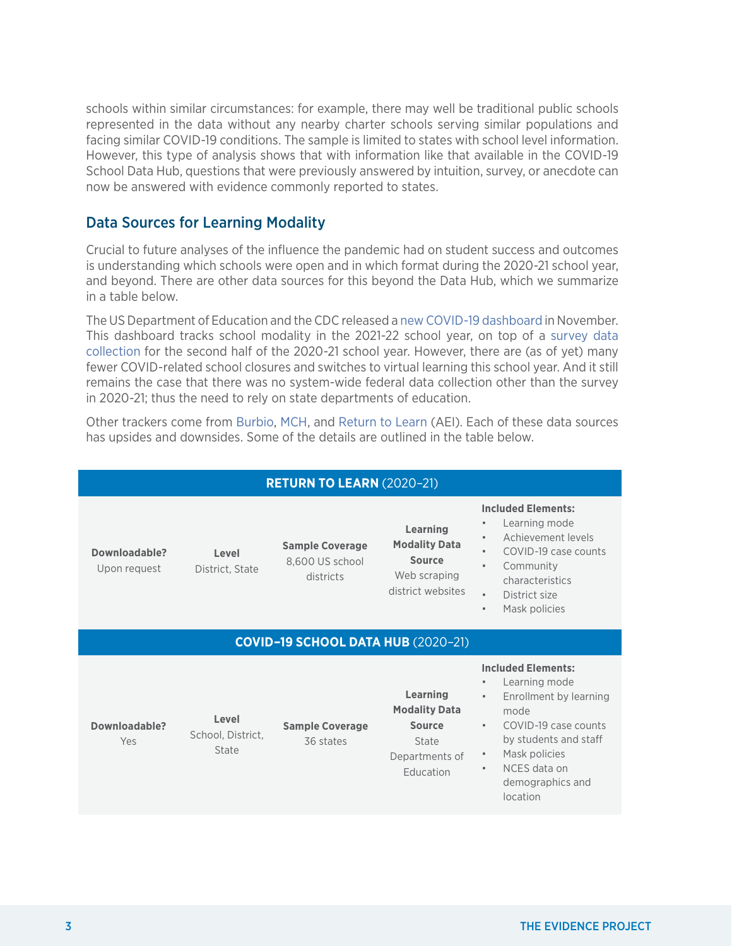schools within similar circumstances: for example, there may well be traditional public schools represented in the data without any nearby charter schools serving similar populations and facing similar COVID-19 conditions. The sample is limited to states with school level information. However, this type of analysis shows that with information like that available in the COVID-19 School Data Hub, questions that were previously answered by intuition, survey, or anecdote can now be answered with evidence commonly reported to states.

#### Data Sources for Learning Modality

Crucial to future analyses of the influence the pandemic had on student success and outcomes is understanding which schools were open and in which format during the 2020-21 school year, and beyond. There are other data sources for this beyond the Data Hub, which we summarize in a table below.

The US Department of Education and the CDC released [a new COVID-19 dashboard](https://www.ed.gov/coronavirus/data) in November. This dashboard tracks school modality in the 2021-22 school year, on top of a [survey data](https://ies.ed.gov/schoolsurvey/)  [collection](https://ies.ed.gov/schoolsurvey/) for the second half of the 2020-21 school year. However, there are (as of yet) many fewer COVID-related school closures and switches to virtual learning this school year. And it still remains the case that there was no system-wide federal data collection other than the survey in 2020-21; thus the need to rely on state departments of education.

Other trackers come from [Burbio](https://cai.burbio.com/school-opening-tracker/), [MCH](https://www.mchdata.com/covid19/schoolclosings), and [Return to Learn](https://www.returntolearntracker.net/) (AEI). Each of these data sources has upsides and downsides. Some of the details are outlined in the table below.

| <b>RETURN TO LEARN (2020-21)</b>          |                                     |                                                        |                                                                                                  |                                                                                                                                                                                                                                                                 |  |  |  |
|-------------------------------------------|-------------------------------------|--------------------------------------------------------|--------------------------------------------------------------------------------------------------|-----------------------------------------------------------------------------------------------------------------------------------------------------------------------------------------------------------------------------------------------------------------|--|--|--|
| Downloadable?<br>Upon request             | Level<br>District, State            | <b>Sample Coverage</b><br>8,600 US school<br>districts | Learning<br><b>Modality Data</b><br><b>Source</b><br>Web scraping<br>district websites           | <b>Included Elements:</b><br>Learning mode<br>Achievement levels<br>$\bullet$<br>COVID-19 case counts<br>Community<br>$\bullet$<br>characteristics<br>District size<br>$\bullet$<br>Mask policies<br>$\bullet$                                                  |  |  |  |
| <b>COVID-19 SCHOOL DATA HUB (2020-21)</b> |                                     |                                                        |                                                                                                  |                                                                                                                                                                                                                                                                 |  |  |  |
| Downloadable?<br>Yes                      | Level<br>School, District,<br>State | <b>Sample Coverage</b><br>36 states                    | <b>Learning</b><br><b>Modality Data</b><br><b>Source</b><br>State<br>Departments of<br>Education | <b>Included Elements:</b><br>Learning mode<br>$\bullet$<br>Enrollment by learning<br>$\bullet$<br>mode<br>COVID-19 case counts<br>$\bullet$<br>by students and staff<br>Mask policies<br>$\bullet$<br>NCES data on<br>$\bullet$<br>demographics and<br>location |  |  |  |